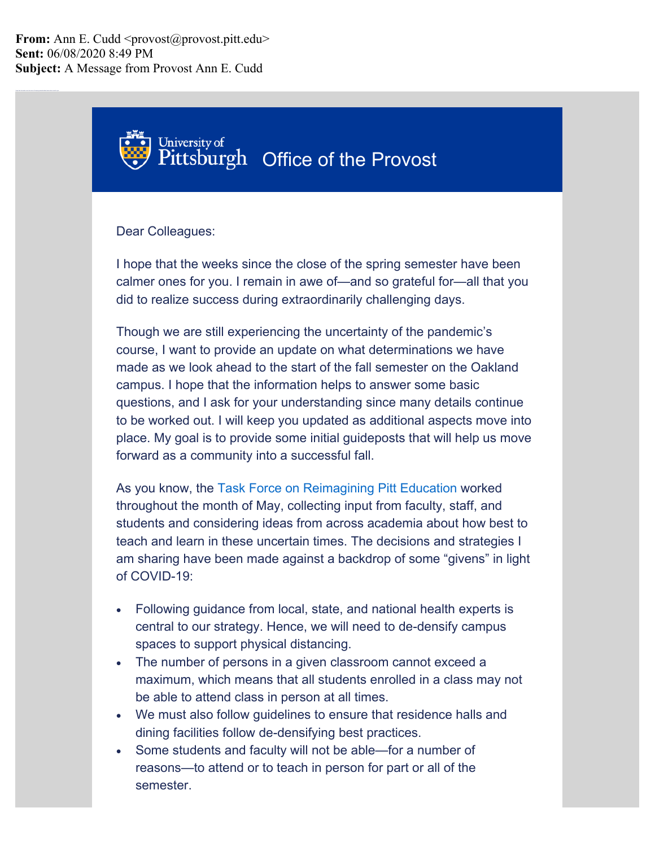# University of Pittsburgh Office of the Provost

### Dear Colleagues:

I hope that the weeks since the close of the spring semester have been calmer ones for you. I remain in awe of—and so grateful for—all that you did to realize success during extraordinarily challenging days.

Though we are still experiencing the uncertainty of the pandemic's course, I want to provide an update on what determinations we have made as we look ahead to the start of the fall semester on the Oakland campus. I hope that the information helps to answer some basic questions, and I ask for your understanding since many details continue to be worked out. I will keep you updated as additional aspects move into place. My goal is to provide some initial guideposts that will help us move forward as a community into a successful fall.

As you know, the [Task Force on Reimagining Pitt Education w](https://officeoftheprovost.cmail19.com/t/j-l-qidkltd-jittkhdytr-t/)orked throughout the month of May, collecting input from faculty, staff, and students and considering ideas from across academia about how best to teach and learn in these uncertain times. The decisions and strategies I am sharing have been made against a backdrop of some "givens" in light of COVID-19:

- Following guidance from local, state, and national health experts is central to our strategy. Hence, we will need to de-densify campus spaces to support physical distancing.
- The number of persons in a given classroom cannot exceed a maximum, which means that all students enrolled in a class may not be able to attend class in person at all times.
- We must also follow guidelines to ensure that residence halls and dining facilities follow de-densifying best practices.
- Some students and faculty will not be able—for a number of reasons—to attend or to teach in person for part or all of the semester.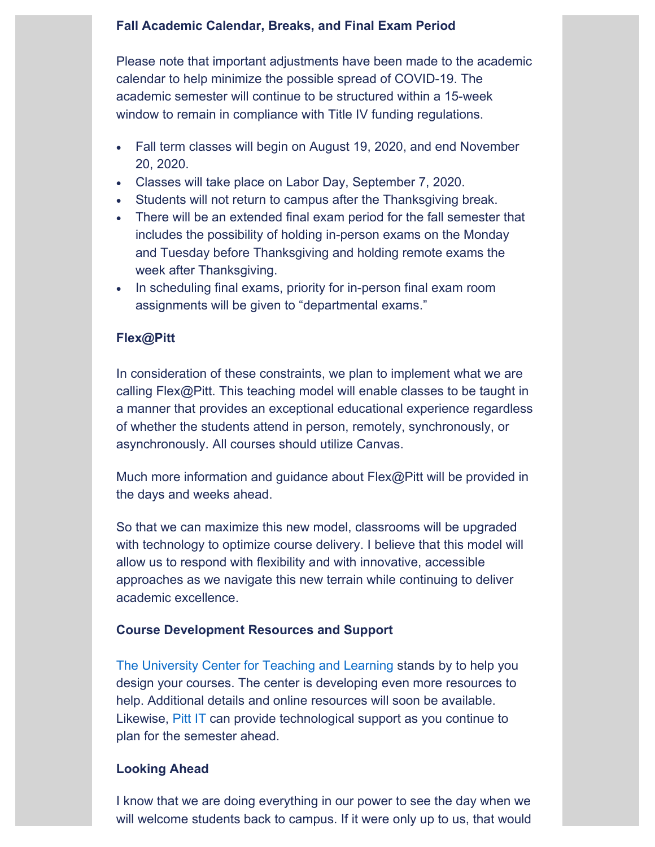## **Fall Academic Calendar, Breaks, and Final Exam Period**

Please note that important adjustments have been made to the academic calendar to help minimize the possible spread of COVID-19. The academic semester will continue to be structured within a 15-week window to remain in compliance with Title IV funding regulations.

- Fall term classes will begin on August 19, 2020, and end November 20, 2020.
- Classes will take place on Labor Day, September 7, 2020.
- Students will not return to campus after the Thanksgiving break.
- There will be an extended final exam period for the fall semester that includes the possibility of holding in-person exams on the Monday and Tuesday before Thanksgiving and holding remote exams the week after Thanksgiving.
- In scheduling final exams, priority for in-person final exam room assignments will be given to "departmental exams."

#### **Flex@Pitt**

In consideration of these constraints, we plan to implement what we are calling Flex@Pitt. This teaching model will enable classes to be taught in a manner that provides an exceptional educational experience regardless of whether the students attend in person, remotely, synchronously, or asynchronously. All courses should utilize Canvas.

Much more information and guidance about Flex@Pitt will be provided in the days and weeks ahead.

So that we can maximize this new model, classrooms will be upgraded with technology to optimize course delivery. I believe that this model will allow us to respond with flexibility and with innovative, accessible approaches as we navigate this new terrain while continuing to deliver academic excellence.

#### **Course Development Resources and Support**

[The University Center for Teaching and Learning](https://officeoftheprovost.cmail19.com/t/j-l-qidkltd-jittkhdytr-i/) stands by to help you design your courses. The center is developing even more resources to help. Additional details and online resources will soon be available. Likewise, [Pitt IT](https://officeoftheprovost.cmail19.com/t/j-l-qidkltd-jittkhdytr-d/) can provide technological support as you continue to plan for the semester ahead.

#### **Looking Ahead**

I know that we are doing everything in our power to see the day when we will welcome students back to campus. If it were only up to us, that would